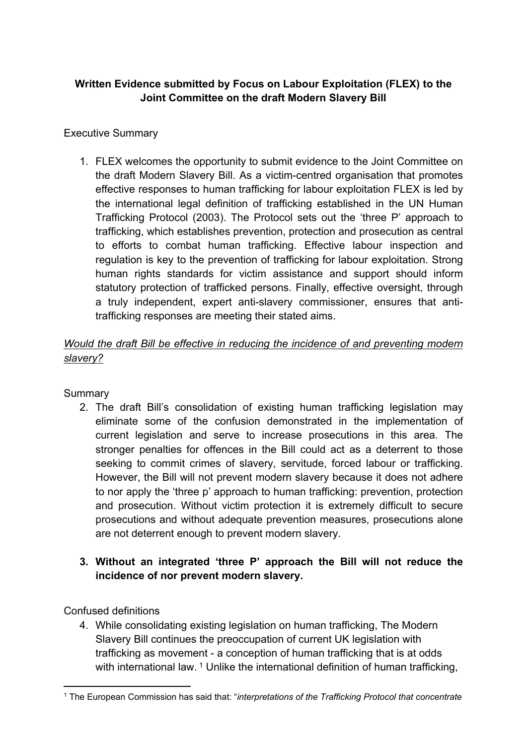# **Written Evidence submitted by Focus on Labour Exploitation (FLEX) to the Joint Committee on the draft Modern Slavery Bill**

# Executive Summary

1. FLEX welcomes the opportunity to submit evidence to the Joint Committee on the draft Modern Slavery Bill. As a victim-centred organisation that promotes effective responses to human trafficking for labour exploitation FLEX is led by the international legal definition of trafficking established in the UN Human Trafficking Protocol (2003). The Protocol sets out the 'three P' approach to trafficking, which establishes prevention, protection and prosecution as central to efforts to combat human trafficking. Effective labour inspection and regulation is key to the prevention of trafficking for labour exploitation. Strong human rights standards for victim assistance and support should inform statutory protection of trafficked persons. Finally, effective oversight, through a truly independent, expert anti-slavery commissioner, ensures that antitrafficking responses are meeting their stated aims.

# *Would the draft Bill be effective in reducing the incidence of and preventing modern slavery?*

### **Summary**

2. The draft Bill's consolidation of existing human trafficking legislation may eliminate some of the confusion demonstrated in the implementation of current legislation and serve to increase prosecutions in this area. The stronger penalties for offences in the Bill could act as a deterrent to those seeking to commit crimes of slavery, servitude, forced labour or trafficking. However, the Bill will not prevent modern slavery because it does not adhere to nor apply the 'three p' approach to human trafficking: prevention, protection and prosecution. Without victim protection it is extremely difficult to secure prosecutions and without adequate prevention measures, prosecutions alone are not deterrent enough to prevent modern slavery.

# **3. Without an integrated 'three P' approach the Bill will not reduce the incidence of nor prevent modern slavery.**

### Confused definitions

4. While consolidating existing legislation on human trafficking, The Modern Slavery Bill continues the preoccupation of current UK legislation with trafficking as movement - a conception of human trafficking that is at odds with international law. <sup>1</sup> Unlike the international definition of human trafficking,

<sup>1</sup> The European Commission has said that: "*interpretations of the Trafficking Protocol that concentrate*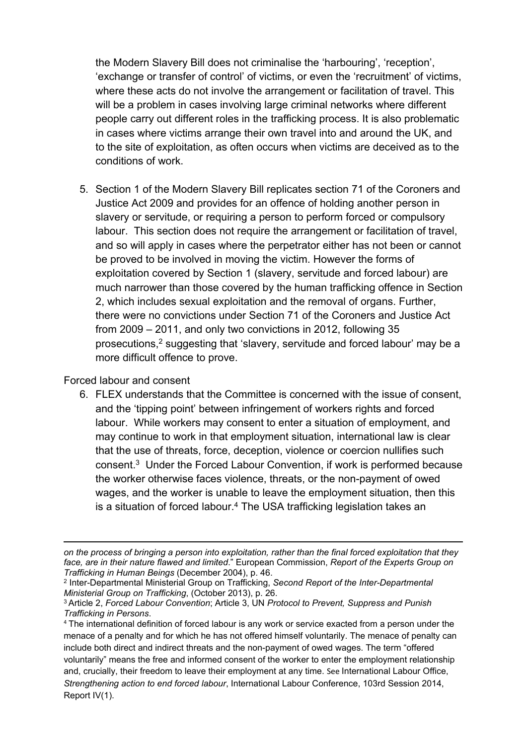the Modern Slavery Bill does not criminalise the 'harbouring', 'reception', 'exchange or transfer of control' of victims, or even the 'recruitment' of victims, where these acts do not involve the arrangement or facilitation of travel. This will be a problem in cases involving large criminal networks where different people carry out different roles in the trafficking process. It is also problematic in cases where victims arrange their own travel into and around the UK, and to the site of exploitation, as often occurs when victims are deceived as to the conditions of work.

5. Section 1 of the Modern Slavery Bill replicates section 71 of the Coroners and Justice Act 2009 and provides for an offence of holding another person in slavery or servitude, or requiring a person to perform forced or compulsory labour. This section does not require the arrangement or facilitation of travel, and so will apply in cases where the perpetrator either has not been or cannot be proved to be involved in moving the victim. However the forms of exploitation covered by Section 1 (slavery, servitude and forced labour) are much narrower than those covered by the human trafficking offence in Section 2, which includes sexual exploitation and the removal of organs. Further, there were no convictions under Section 71 of the Coroners and Justice Act from 2009 – 2011, and only two convictions in 2012, following 35 prosecutions,<sup>2</sup> suggesting that 'slavery, servitude and forced labour' may be a more difficult offence to prove.

### Forced labour and consent

6. FLEX understands that the Committee is concerned with the issue of consent, and the 'tipping point' between infringement of workers rights and forced labour. While workers may consent to enter a situation of employment, and may continue to work in that employment situation, international law is clear that the use of threats, force, deception, violence or coercion nullifies such consent.<sup>3</sup> Under the Forced Labour Convention, if work is performed because the worker otherwise faces violence, threats, or the non-payment of owed wages, and the worker is unable to leave the employment situation, then this is a situation of forced labour.<sup>4</sup> The USA trafficking legislation takes an

on the process of bringing a person into exploitation, rather than the final forced exploitation that thev *face, are in their nature flawed and limited*." European Commission, *Report of the Experts Group on Trafficking in Human Beings* (December 2004), p. 46.

<sup>2</sup> Inter-Departmental Ministerial Group on Trafficking, *Second Report of the Inter-Departmental Ministerial Group on Trafficking*, (October 2013), p. 26.

<sup>3</sup> Article 2, *Forced Labour Convention*; Article 3, UN *Protocol to Prevent, Suppress and Punish Trafficking in Persons*.

<sup>4</sup> The international definition of forced labour is any work or service exacted from a person under the menace of a penalty and for which he has not offered himself voluntarily. The menace of penalty can include both direct and indirect threats and the non-payment of owed wages. The term "offered voluntarily" means the free and informed consent of the worker to enter the employment relationship and, crucially, their freedom to leave their employment at any time. See International Labour Office, *Strengthening action to end forced labour*, International Labour Conference, 103rd Session 2014, Report IV(1).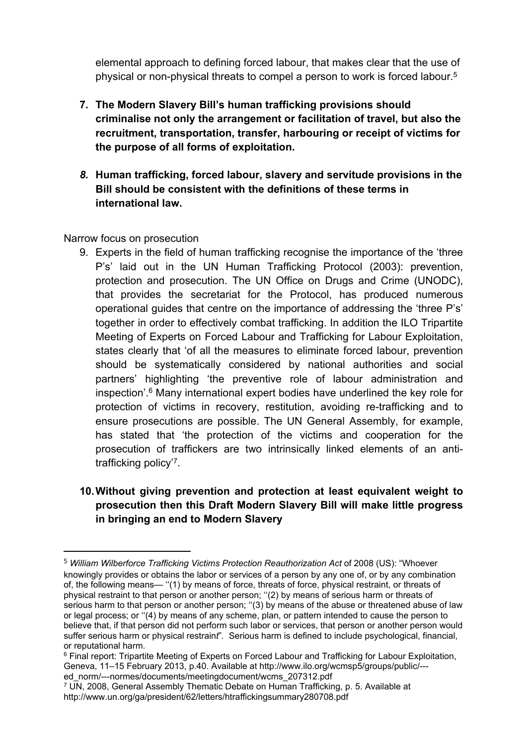elemental approach to defining forced labour, that makes clear that the use of physical or non-physical threats to compel a person to work is forced labour.<sup>5</sup>

- **7. The Modern Slavery Bill's human trafficking provisions should criminalise not only the arrangement or facilitation of travel, but also the recruitment, transportation, transfer, harbouring or receipt of victims for the purpose of all forms of exploitation.**
- *8.* **Human trafficking, forced labour, slavery and servitude provisions in the Bill should be consistent with the definitions of these terms in international law.**

#### Narrow focus on prosecution

- 9. Experts in the field of human trafficking recognise the importance of the 'three P's' laid out in the UN Human Trafficking Protocol (2003): prevention, protection and prosecution. The UN Office on Drugs and Crime (UNODC), that provides the secretariat for the Protocol, has produced numerous operational guides that centre on the importance of addressing the 'three P's' together in order to effectively combat trafficking. In addition the ILO Tripartite Meeting of Experts on Forced Labour and Trafficking for Labour Exploitation, states clearly that 'of all the measures to eliminate forced labour, prevention should be systematically considered by national authorities and social partners' highlighting 'the preventive role of labour administration and inspection'.<sup>6</sup> Many international expert bodies have underlined the key role for protection of victims in recovery, restitution, avoiding re-trafficking and to ensure prosecutions are possible. The UN General Assembly, for example, has stated that 'the protection of the victims and cooperation for the prosecution of traffickers are two intrinsically linked elements of an antitrafficking policy'<sup>7</sup> .
- **10.Without giving prevention and protection at least equivalent weight to prosecution then this Draft Modern Slavery Bill will make little progress in bringing an end to Modern Slavery**

<sup>5</sup> *William Wilberforce Trafficking Victims Protection Reauthorization Act* of 2008 (US): "Whoever knowingly provides or obtains the labor or services of a person by any one of, or by any combination of, the following means— ''(1) by means of force, threats of force, physical restraint, or threats of physical restraint to that person or another person; ''(2) by means of serious harm or threats of serious harm to that person or another person; ''(3) by means of the abuse or threatened abuse of law or legal process; or ''(4) by means of any scheme, plan, or pattern intended to cause the person to believe that, if that person did not perform such labor or services, that person or another person would suffer serious harm or physical restrain*t*". Serious harm is defined to include psychological, financial, or reputational harm.

<sup>6</sup> Final report: Tripartite Meeting of Experts on Forced Labour and Trafficking for Labour Exploitation, Geneva, 11–15 February 2013, p.40. Available at http://www.ilo.org/wcmsp5/groups/public/-- ed\_norm/---normes/documents/meetingdocument/wcms\_207312.pdf

<sup>7</sup> UN, 2008, General Assembly Thematic Debate on Human Trafficking, p. 5. Available at http://www.un.org/ga/president/62/letters/htraffickingsummary280708.pdf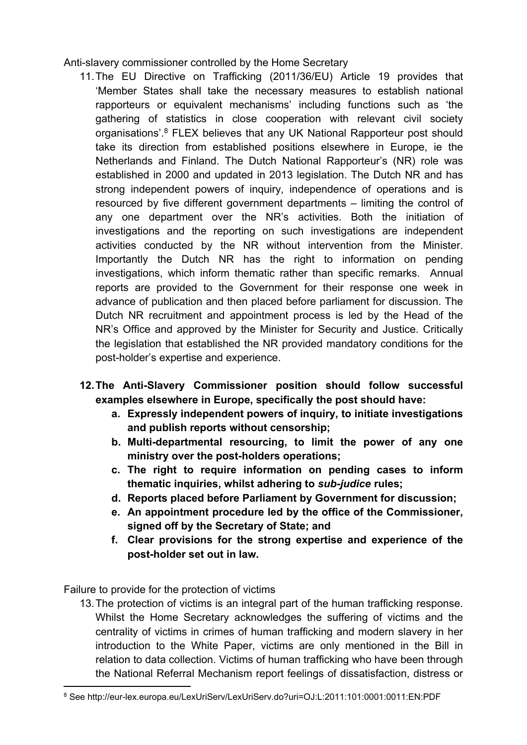Anti-slavery commissioner controlled by the Home Secretary

- 11.The EU Directive on Trafficking (2011/36/EU) Article 19 provides that 'Member States shall take the necessary measures to establish national rapporteurs or equivalent mechanisms' including functions such as 'the gathering of statistics in close cooperation with relevant civil society organisations'.<sup>8</sup> FLEX believes that any UK National Rapporteur post should take its direction from established positions elsewhere in Europe, ie the Netherlands and Finland. The Dutch National Rapporteur's (NR) role was established in 2000 and updated in 2013 legislation. The Dutch NR and has strong independent powers of inquiry, independence of operations and is resourced by five different government departments – limiting the control of any one department over the NR's activities. Both the initiation of investigations and the reporting on such investigations are independent activities conducted by the NR without intervention from the Minister. Importantly the Dutch NR has the right to information on pending investigations, which inform thematic rather than specific remarks. Annual reports are provided to the Government for their response one week in advance of publication and then placed before parliament for discussion. The Dutch NR recruitment and appointment process is led by the Head of the NR's Office and approved by the Minister for Security and Justice. Critically the legislation that established the NR provided mandatory conditions for the post-holder's expertise and experience.
- **12.The Anti-Slavery Commissioner position should follow successful examples elsewhere in Europe, specifically the post should have:**
	- **a. Expressly independent powers of inquiry, to initiate investigations and publish reports without censorship;**
	- **b. Multi-departmental resourcing, to limit the power of any one ministry over the post-holders operations;**
	- **c. The right to require information on pending cases to inform thematic inquiries, whilst adhering to** *sub-judice* **rules;**
	- **d. Reports placed before Parliament by Government for discussion;**
	- **e. An appointment procedure led by the office of the Commissioner, signed off by the Secretary of State; and**
	- **f. Clear provisions for the strong expertise and experience of the post-holder set out in law.**

Failure to provide for the protection of victims

13.The protection of victims is an integral part of the human trafficking response. Whilst the Home Secretary acknowledges the suffering of victims and the centrality of victims in crimes of human trafficking and modern slavery in her introduction to the White Paper, victims are only mentioned in the Bill in relation to data collection. Victims of human trafficking who have been through the National Referral Mechanism report feelings of dissatisfaction, distress or

<sup>8</sup> See http://eur-lex.europa.eu/LexUriServ/LexUriServ.do?uri=OJ:L:2011:101:0001:0011:EN:PDF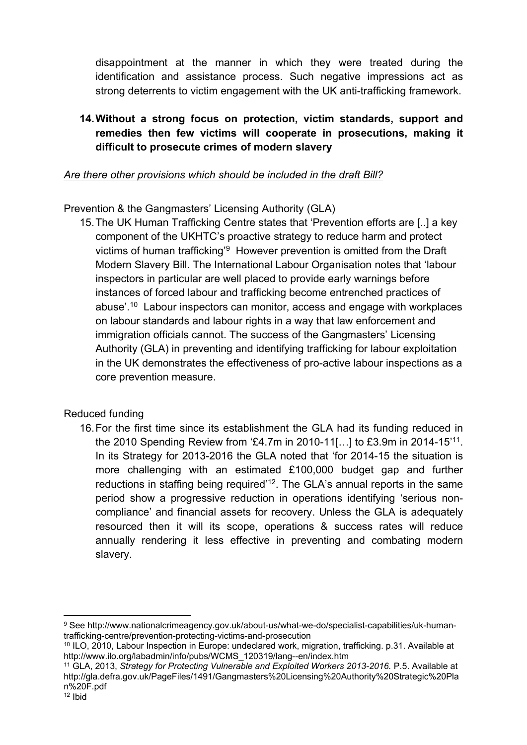disappointment at the manner in which they were treated during the identification and assistance process. Such negative impressions act as strong deterrents to victim engagement with the UK anti-trafficking framework.

# **14.Without a strong focus on protection, victim standards, support and remedies then few victims will cooperate in prosecutions, making it difficult to prosecute crimes of modern slavery**

#### *Are there other provisions which should be included in the draft Bill?*

Prevention & the Gangmasters' Licensing Authority (GLA)

15.The UK Human Trafficking Centre states that 'Prevention efforts are [..] a key component of the UKHTC's proactive strategy to reduce harm and protect victims of human trafficking<sup>'9</sup> However prevention is omitted from the Draft Modern Slavery Bill. The International Labour Organisation notes that 'labour inspectors in particular are well placed to provide early warnings before instances of forced labour and trafficking become entrenched practices of abuse'.<sup>10</sup> Labour inspectors can monitor, access and engage with workplaces on labour standards and labour rights in a way that law enforcement and immigration officials cannot. The success of the Gangmasters' Licensing Authority (GLA) in preventing and identifying trafficking for labour exploitation in the UK demonstrates the effectiveness of pro-active labour inspections as a core prevention measure.

### Reduced funding

16.For the first time since its establishment the GLA had its funding reduced in the 2010 Spending Review from '£4.7m in 2010-11[…] to £3.9m in 2014-15'<sup>11</sup> . In its Strategy for 2013-2016 the GLA noted that 'for 2014-15 the situation is more challenging with an estimated £100,000 budget gap and further reductions in staffing being required<sup>'12</sup>. The GLA's annual reports in the same period show a progressive reduction in operations identifying 'serious noncompliance' and financial assets for recovery. Unless the GLA is adequately resourced then it will its scope, operations & success rates will reduce annually rendering it less effective in preventing and combating modern slavery.

<sup>9</sup> See http://www.nationalcrimeagency.gov.uk/about-us/what-we-do/specialist-capabilities/uk-humantrafficking-centre/prevention-protecting-victims-and-prosecution

<sup>10</sup> ILO, 2010, Labour Inspection in Europe: undeclared work, migration, trafficking. p.31. Available at http://www.ilo.org/labadmin/info/pubs/WCMS\_120319/lang--en/index.htm

<sup>11</sup> GLA, 2013, *Strategy for Protecting Vulnerable and Exploited Workers 2013-2016.* P.5. Available at http://gla.defra.gov.uk/PageFiles/1491/Gangmasters%20Licensing%20Authority%20Strategic%20Pla n%20F.pdf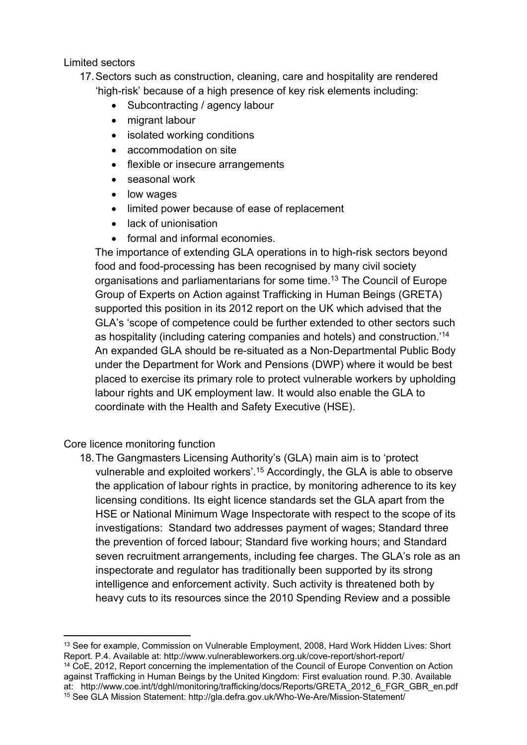#### Limited sectors

- 17.Sectors such as construction, cleaning, care and hospitality are rendered 'high-risk' because of a high presence of key risk elements including:
	- Subcontracting / agency labour
	- migrant labour
	- isolated working conditions
	- accommodation on site
	- flexible or insecure arrangements
	- seasonal work
	- low wages
	- limited power because of ease of replacement
	- lack of unionisation
	- formal and informal economies.

The importance of extending GLA operations in to high-risk sectors beyond food and food-processing has been recognised by many civil society organisations and parliamentarians for some time.<sup>13</sup> The Council of Europe Group of Experts on Action against Trafficking in Human Beings (GRETA) supported this position in its 2012 report on the UK which advised that the GLA's 'scope of competence could be further extended to other sectors such as hospitality (including catering companies and hotels) and construction.'<sup>14</sup> An expanded GLA should be re-situated as a Non-Departmental Public Body under the Department for Work and Pensions (DWP) where it would be best placed to exercise its primary role to protect vulnerable workers by upholding labour rights and UK employment law. It would also enable the GLA to coordinate with the Health and Safety Executive (HSE).

Core licence monitoring function

18.The Gangmasters Licensing Authority's (GLA) main aim is to 'protect vulnerable and exploited workers'.<sup>15</sup> Accordingly, the GLA is able to observe the application of labour rights in practice, by monitoring adherence to its key licensing conditions. Its eight licence standards set the GLA apart from the HSE or National Minimum Wage Inspectorate with respect to the scope of its investigations: Standard two addresses payment of wages; Standard three the prevention of forced labour; Standard five working hours; and Standard seven recruitment arrangements, including fee charges. The GLA's role as an inspectorate and regulator has traditionally been supported by its strong intelligence and enforcement activity. Such activity is threatened both by heavy cuts to its resources since the 2010 Spending Review and a possible

<sup>&</sup>lt;sup>13</sup> See for example, Commission on Vulnerable Employment, 2008. Hard Work Hidden Lives: Short Report. P.4. Available at: http://www.vulnerableworkers.org.uk/cove-report/short-report/ <sup>14</sup> CoE, 2012, Report concerning the implementation of the Council of Europe Convention on Action against Trafficking in Human Beings by the United Kingdom: First evaluation round. P.30. Available at: http://www.coe.int/t/dghl/monitoring/trafficking/docs/Reports/GRETA\_2012\_6\_FGR\_GBR\_en.pdf <sup>15</sup> See GLA Mission Statement: http://gla.defra.gov.uk/Who-We-Are/Mission-Statement/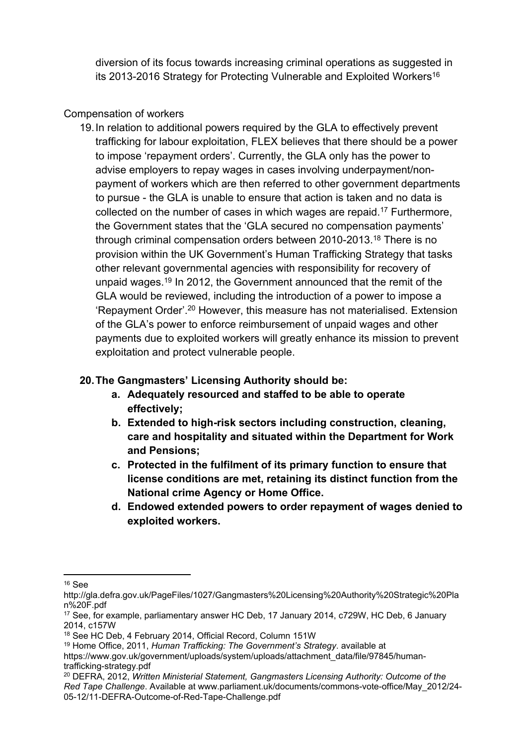diversion of its focus towards increasing criminal operations as suggested in its 2013-2016 Strategy for Protecting Vulnerable and Exploited Workers<sup>16</sup>

### Compensation of workers

19.In relation to additional powers required by the GLA to effectively prevent trafficking for labour exploitation, FLEX believes that there should be a power to impose 'repayment orders'. Currently, the GLA only has the power to advise employers to repay wages in cases involving underpayment/nonpayment of workers which are then referred to other government departments to pursue - the GLA is unable to ensure that action is taken and no data is collected on the number of cases in which wages are repaid.<sup>17</sup> Furthermore, the Government states that the 'GLA secured no compensation payments' through criminal compensation orders between 2010-2013.<sup>18</sup> There is no provision within the UK Government's Human Trafficking Strategy that tasks other relevant governmental agencies with responsibility for recovery of unpaid wages.<sup>19</sup> In 2012, the Government announced that the remit of the GLA would be reviewed, including the introduction of a power to impose a 'Repayment Order'.<sup>20</sup> However, this measure has not materialised. Extension of the GLA's power to enforce reimbursement of unpaid wages and other payments due to exploited workers will greatly enhance its mission to prevent exploitation and protect vulnerable people.

# **20.The Gangmasters' Licensing Authority should be:**

- **a. Adequately resourced and staffed to be able to operate effectively;**
- **b. Extended to high-risk sectors including construction, cleaning, care and hospitality and situated within the Department for Work and Pensions;**
- **c. Protected in the fulfilment of its primary function to ensure that license conditions are met, retaining its distinct function from the National crime Agency or Home Office.**
- **d. Endowed extended powers to order repayment of wages denied to exploited workers.**

<sup>16</sup> See

http://gla.defra.gov.uk/PageFiles/1027/Gangmasters%20Licensing%20Authority%20Strategic%20Pla n%20F.pdf

<sup>17</sup> See, for example, parliamentary answer HC Deb, 17 January 2014, c729W, HC Deb, 6 January 2014, c157W

<sup>18</sup> See HC Deb, 4 February 2014, Official Record, Column 151W

<sup>19</sup> Home Office, 2011, *Human Trafficking: The Government's Strategy*. available at

[https://www.gov.uk/government/uploads/system/uploads/attachment\\_data/file/97845/human](https://www.gov.uk/government/uploads/system/uploads/attachment_data/file/97845/human-trafficking-strategy.pdf)[trafficking-strategy.pdf](https://www.gov.uk/government/uploads/system/uploads/attachment_data/file/97845/human-trafficking-strategy.pdf)

<sup>20</sup> DEFRA, 2012, *Written Ministerial Statement, Gangmasters Licensing Authority: Outcome of the Red Tape Challenge*. Available at www.parliament.uk/documents/commons-vote-office/May\_2012/24- 05-12/11-DEFRA-Outcome-of-Red-Tape-Challenge.pdf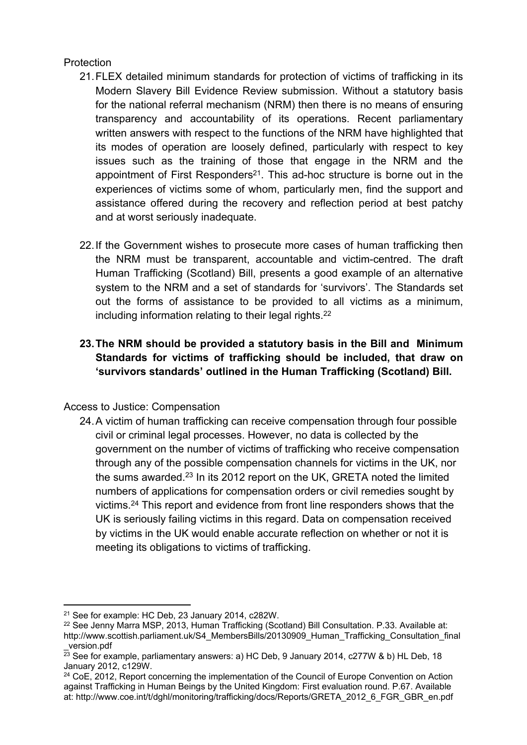# **Protection**

- 21.FLEX detailed minimum standards for protection of victims of trafficking in its Modern Slavery Bill Evidence Review submission. Without a statutory basis for the national referral mechanism (NRM) then there is no means of ensuring transparency and accountability of its operations. Recent parliamentary written answers with respect to the functions of the NRM have highlighted that its modes of operation are loosely defined, particularly with respect to key issues such as the training of those that engage in the NRM and the appointment of First Responders<sup>21</sup>. This ad-hoc structure is borne out in the experiences of victims some of whom, particularly men, find the support and assistance offered during the recovery and reflection period at best patchy and at worst seriously inadequate.
- 22.If the Government wishes to prosecute more cases of human trafficking then the NRM must be transparent, accountable and victim-centred. The draft Human Trafficking (Scotland) Bill, presents a good example of an alternative system to the NRM and a set of standards for 'survivors'. The Standards set out the forms of assistance to be provided to all victims as a minimum, including information relating to their legal rights.<sup>22</sup>
- **23.The NRM should be provided a statutory basis in the Bill and Minimum Standards for victims of trafficking should be included, that draw on 'survivors standards' outlined in the Human Trafficking (Scotland) Bill.**

# Access to Justice: Compensation

24.A victim of human trafficking can receive compensation through four possible civil or criminal legal processes. However, no data is collected by the government on the number of victims of trafficking who receive compensation through any of the possible compensation channels for victims in the UK, nor the sums awarded.<sup>23</sup> In its 2012 report on the UK, GRETA noted the limited numbers of applications for compensation orders or civil remedies sought by victims.<sup>24</sup> This report and evidence from front line responders shows that the UK is seriously failing victims in this regard. Data on compensation received by victims in the UK would enable accurate reflection on whether or not it is meeting its obligations to victims of trafficking.

<sup>21</sup> See for example: HC Deb, 23 January 2014, c282W.

<sup>22</sup> See Jenny Marra MSP, 2013, Human Trafficking (Scotland) Bill Consultation. P.33. Available at: http://www.scottish.parliament.uk/S4\_MembersBills/20130909\_Human\_Trafficking\_Consultation\_final \_version.pdf

 $\overline{23}$  See for example, parliamentary answers: a) HC Deb, 9 January 2014, c277W & b) HL Deb, 18 January 2012, c129W.

<sup>&</sup>lt;sup>24</sup> CoE, 2012, Report concerning the implementation of the Council of Europe Convention on Action against Trafficking in Human Beings by the United Kingdom: First evaluation round. P.67. Available at: http://www.coe.int/t/dghl/monitoring/trafficking/docs/Reports/GRETA\_2012\_6\_FGR\_GBR\_en.pdf